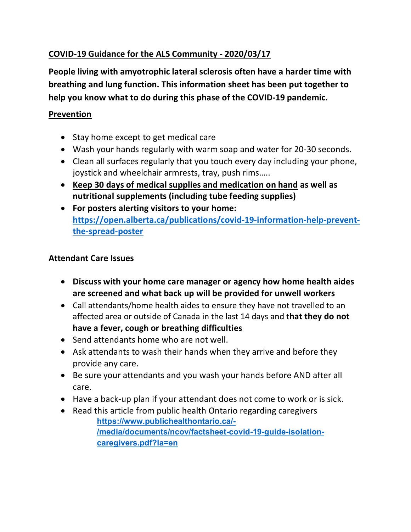# **COVID-19 Guidance for the ALS Community - 2020/03/17**

**People living with amyotrophic lateral sclerosis often have a harder time with breathing and lung function. This information sheet has been put together to help you know what to do during this phase of the COVID-19 pandemic.**

#### **Prevention**

- Stay home except to get medical care
- Wash your hands regularly with warm soap and water for 20-30 seconds.
- Clean all surfaces regularly that you touch every day including your phone, joystick and wheelchair armrests, tray, push rims…..
- **Keep 30 days of medical supplies and medication on hand as well as nutritional supplements (including tube feeding supplies)**
- **For posters alerting visitors to your home: https://open.alberta.ca/publications/covid-19-information-help-preventthe-spread-poster**

### **Attendant Care Issues**

- **Discuss with your home care manager or agency how home health aides are screened and what back up will be provided for unwell workers**
- Call attendants/home health aides to ensure they have not travelled to an affected area or outside of Canada in the last 14 days and t**hat they do not have a fever, cough or breathing difficulties**
- Send attendants home who are not well.
- Ask attendants to wash their hands when they arrive and before they provide any care.
- Be sure your attendants and you wash your hands before AND after all care.
- Have a back-up plan if your attendant does not come to work or is sick.
- Read this article from public health Ontario regarding caregivers **https://www.publichealthontario.ca/- /media/documents/ncov/factsheet-covid-19-guide-isolationcaregivers.pdf?la=en**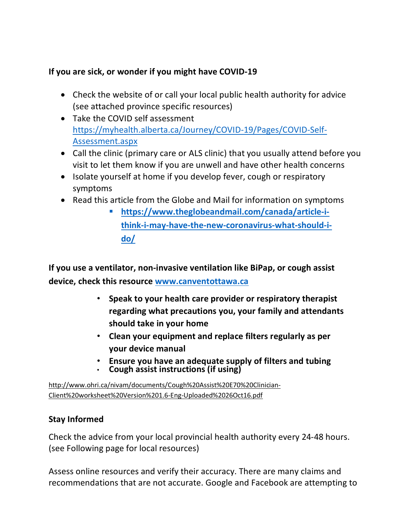## **If you are sick, or wonder if you might have COVID-19**

- Check the website of or call your local public health authority for advice (see attached province specific resources)
- Take the COVID self assessment https://myhealth.alberta.ca/Journey/COVID-19/Pages/COVID-Self-Assessment.aspx
- Call the clinic (primary care or ALS clinic) that you usually attend before you visit to let them know if you are unwell and have other health concerns
- Isolate yourself at home if you develop fever, cough or respiratory symptoms
- Read this article from the Globe and Mail for information on symptoms
	- § **https://www.theglobeandmail.com/canada/article-ithink-i-may-have-the-new-coronavirus-what-should-ido/**

**If you use a ventilator, non-invasive ventilation like BiPap, or cough assist device, check this resource www.canventottawa.ca**

- **Speak to your health care provider or respiratory therapist regarding what precautions you, your family and attendants should take in your home**
- **Clean your equipment and replace filters regularly as per your device manual**
- **Ensure you have an adequate supply of filters and tubing**
- **Cough assist instructions (if using)**

http://www.ohri.ca/nivam/documents/Cough%20Assist%20E70%20Clinician-Client%20worksheet%20Version%201.6-Eng-Uploaded%2026Oct16.pdf

### **Stay Informed**

Check the advice from your local provincial health authority every 24-48 hours. (see Following page for local resources)

Assess online resources and verify their accuracy. There are many claims and recommendations that are not accurate. Google and Facebook are attempting to